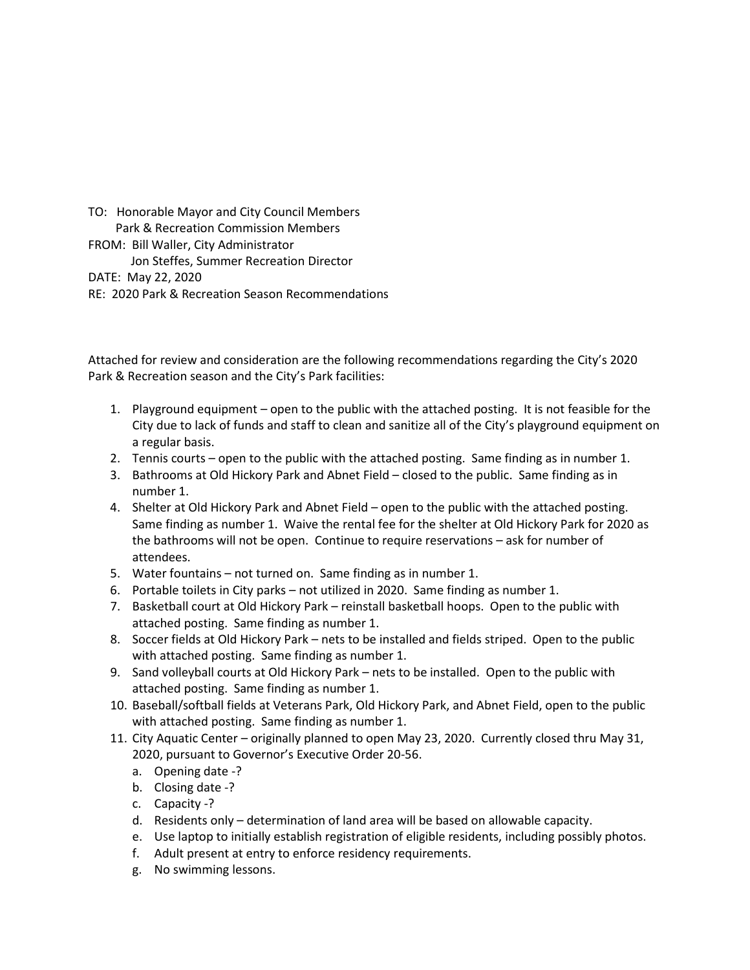TO: Honorable Mayor and City Council Members Park & Recreation Commission Members FROM: Bill Waller, City Administrator Jon Steffes, Summer Recreation Director DATE: May 22, 2020 RE: 2020 Park & Recreation Season Recommendations

Attached for review and consideration are the following recommendations regarding the City's 2020 Park & Recreation season and the City's Park facilities:

- 1. Playground equipment open to the public with the attached posting. It is not feasible for the City due to lack of funds and staff to clean and sanitize all of the City's playground equipment on a regular basis.
- 2. Tennis courts open to the public with the attached posting. Same finding as in number 1.
- 3. Bathrooms at Old Hickory Park and Abnet Field closed to the public. Same finding as in number 1.
- 4. Shelter at Old Hickory Park and Abnet Field open to the public with the attached posting. Same finding as number 1. Waive the rental fee for the shelter at Old Hickory Park for 2020 as the bathrooms will not be open. Continue to require reservations – ask for number of attendees.
- 5. Water fountains not turned on. Same finding as in number 1.
- 6. Portable toilets in City parks not utilized in 2020. Same finding as number 1.
- 7. Basketball court at Old Hickory Park reinstall basketball hoops. Open to the public with attached posting. Same finding as number 1.
- 8. Soccer fields at Old Hickory Park nets to be installed and fields striped. Open to the public with attached posting. Same finding as number 1.
- 9. Sand volleyball courts at Old Hickory Park nets to be installed. Open to the public with attached posting. Same finding as number 1.
- 10. Baseball/softball fields at Veterans Park, Old Hickory Park, and Abnet Field, open to the public with attached posting. Same finding as number 1.
- 11. City Aquatic Center originally planned to open May 23, 2020. Currently closed thru May 31, 2020, pursuant to Governor's Executive Order 20-56.
	- a. Opening date -?
	- b. Closing date -?
	- c. Capacity -?
	- d. Residents only determination of land area will be based on allowable capacity.
	- e. Use laptop to initially establish registration of eligible residents, including possibly photos.
	- f. Adult present at entry to enforce residency requirements.
	- g. No swimming lessons.